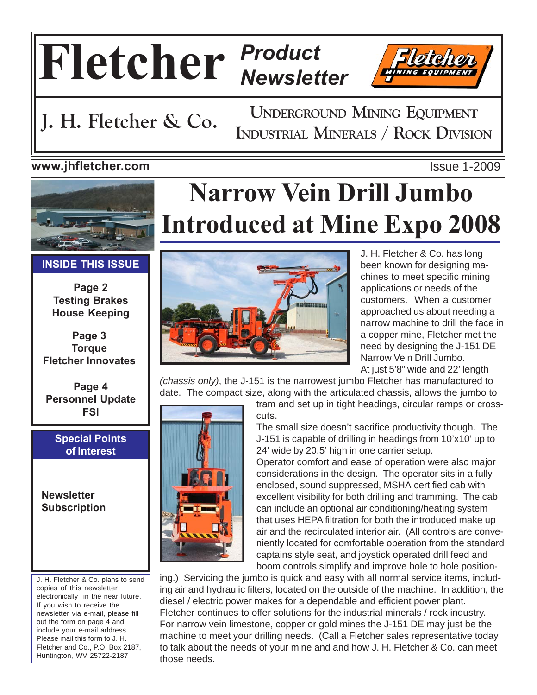## **Fletcher** *Product Newsletter*



**UNDERGROUND MINING EQUIPMENT J. H. Fletcher & Co.** INDUSTRIAL MINERALS / ROCK DIVISION

#### **www.jhfletcher.com** Issue 1-2009



#### **INSIDE THIS ISSUE**

**Page 2 Testing Brakes House Keeping**

**Page 3 Torque Fletcher Innovates**

**Page 4 Personnel Update FSI**

#### **Special Points of Interest**

**Newsletter Subscription**

J. H. Fletcher & Co. plans to send copies of this newsletter electronically in the near future. If you wish to receive the newsletter via e-mail, please fill out the form on page 4 and include your e-mail address. Please mail this form to J. H. Fletcher and Co., P.O. Box 2187, Huntington, WV 25722-2187

# **Narrow Vein Drill Jumbo Introduced at Mine Expo 2008**



J. H. Fletcher & Co. has long been known for designing machines to meet specific mining applications or needs of the customers. When a customer approached us about needing a narrow machine to drill the face in a copper mine, Fletcher met the need by designing the J-151 DE Narrow Vein Drill Jumbo. At just 5'8" wide and 22' length

*(chassis only)*, the J-151 is the narrowest jumbo Fletcher has manufactured to date. The compact size, along with the articulated chassis, allows the jumbo to



tram and set up in tight headings, circular ramps or crosscuts.

The small size doesn't sacrifice productivity though. The J-151 is capable of drilling in headings from 10'x10' up to 24' wide by 20.5' high in one carrier setup.

Operator comfort and ease of operation were also major considerations in the design. The operator sits in a fully enclosed, sound suppressed, MSHA certified cab with excellent visibility for both drilling and tramming. The cab can include an optional air conditioning/heating system that uses HEPA filtration for both the introduced make up air and the recirculated interior air. (All controls are conveniently located for comfortable operation from the standard captains style seat, and joystick operated drill feed and boom controls simplify and improve hole to hole position-

ing.) Servicing the jumbo is quick and easy with all normal service items, including air and hydraulic filters, located on the outside of the machine. In addition, the diesel / electric power makes for a dependable and efficient power plant. Fletcher continues to offer solutions for the industrial minerals / rock industry. For narrow vein limestone, copper or gold mines the J-151 DE may just be the machine to meet your drilling needs. (Call a Fletcher sales representative today to talk about the needs of your mine and and how J. H. Fletcher & Co. can meet those needs.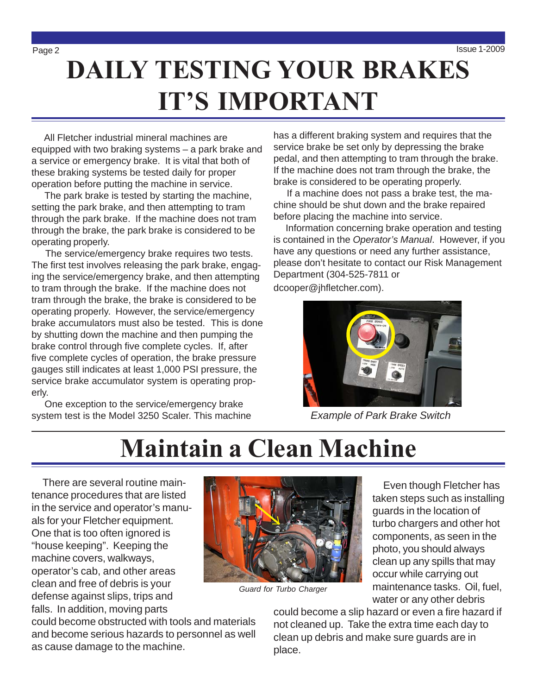# **DAILY TESTING YOUR BRAKES IT'S IMPORTANT**

 All Fletcher industrial mineral machines are equipped with two braking systems – a park brake and a service or emergency brake. It is vital that both of these braking systems be tested daily for proper operation before putting the machine in service.

 The park brake is tested by starting the machine, setting the park brake, and then attempting to tram through the park brake. If the machine does not tram through the brake, the park brake is considered to be operating properly.

 The service/emergency brake requires two tests. The first test involves releasing the park brake, engaging the service/emergency brake, and then attempting to tram through the brake. If the machine does not tram through the brake, the brake is considered to be operating properly. However, the service/emergency brake accumulators must also be tested. This is done by shutting down the machine and then pumping the brake control through five complete cycles. If, after five complete cycles of operation, the brake pressure gauges still indicates at least 1,000 PSI pressure, the service brake accumulator system is operating properly.

 One exception to the service/emergency brake system test is the Model 3250 Scaler. This machine has a different braking system and requires that the service brake be set only by depressing the brake pedal, and then attempting to tram through the brake. If the machine does not tram through the brake, the brake is considered to be operating properly.

 If a machine does not pass a brake test, the machine should be shut down and the brake repaired before placing the machine into service.

 Information concerning brake operation and testing is contained in the *Operator's Manual*. However, if you have any questions or need any further assistance, please don't hesitate to contact our Risk Management Department (304-525-7811 or dcooper@jhfletcher.com).



*Example of Park Brake Switch*

## **Maintain a Clean Machine**

 There are several routine maintenance procedures that are listed in the service and operator's manuals for your Fletcher equipment. One that is too often ignored is "house keeping". Keeping the machine covers, walkways, operator's cab, and other areas clean and free of debris is your defense against slips, trips and falls. In addition, moving parts

could become obstructed with tools and materials and become serious hazards to personnel as well as cause damage to the machine.



*Guard for Turbo Charger*

 Even though Fletcher has taken steps such as installing guards in the location of turbo chargers and other hot components, as seen in the photo, you should always clean up any spills that may occur while carrying out maintenance tasks. Oil, fuel, water or any other debris

could become a slip hazard or even a fire hazard if not cleaned up. Take the extra time each day to clean up debris and make sure guards are in place.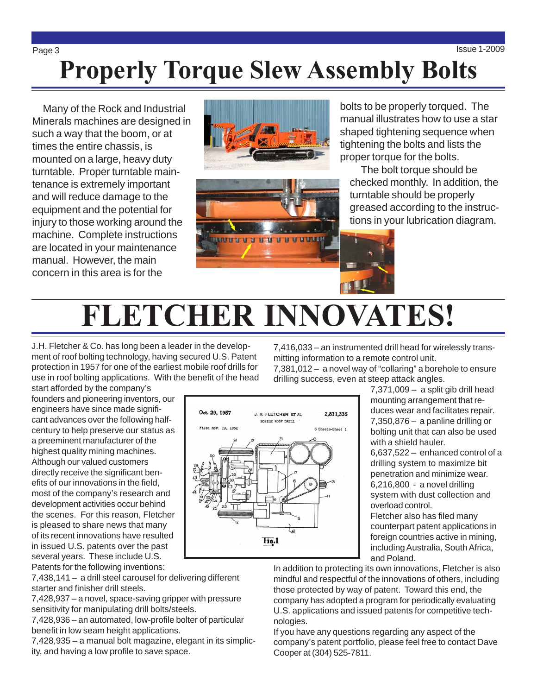## Page 3 Issue 1-2009 **Properly Torque Slew Assembly Bolts**

 Many of the Rock and Industrial Minerals machines are designed in such a way that the boom, or at times the entire chassis, is mounted on a large, heavy duty turntable. Proper turntable maintenance is extremely important and will reduce damage to the equipment and the potential for injury to those working around the machine. Complete instructions are located in your maintenance manual. However, the main concern in this area is for the





bolts to be properly torqued. The manual illustrates how to use a star shaped tightening sequence when tightening the bolts and lists the proper torque for the bolts.

 The bolt torque should be checked monthly. In addition, the turntable should be properly greased according to the instructions in your lubrication diagram.

# **FLETCHER INNOVATES!**

J.H. Fletcher & Co. has long been a leader in the development of roof bolting technology, having secured U.S. Patent protection in 1957 for one of the earliest mobile roof drills for use in roof bolting applications. With the benefit of the head 7,416,033 – an instrumented drill head for wirelessly transmitting information to a remote control unit.

7,381,012 – a novel way of "collaring" a borehole to ensure drilling success, even at steep attack angles.

start afforded by the company's founders and pioneering inventors, our engineers have since made significant advances over the following halfcentury to help preserve our status as a preeminent manufacturer of the highest quality mining machines. Although our valued customers directly receive the significant benefits of our innovations in the field, most of the company's research and development activities occur behind the scenes. For this reason, Fletcher is pleased to share news that many of its recent innovations have resulted in issued U.S. patents over the past several years. These include U.S. Patents for the following inventions:

7,438,141 – a drill steel carousel for delivering different starter and finisher drill steels.

7,428,937 – a novel, space-saving gripper with pressure sensitivity for manipulating drill bolts/steels.

7,428,936 – an automated, low-profile bolter of particular benefit in low seam height applications.

7,428,935 – a manual bolt magazine, elegant in its simplicity, and having a low profile to save space.

Oct. 29, 1957 J. R. FLETCHER ET AL. 2,811,335 MOBILE ROOF DRILL Filed Nov. 19, 1952 5 Sheets-Sheet 1 Hig.1

7,371,009 – a split gib drill head mounting arrangement that reduces wear and facilitates repair. 7,350,876 – a panline drilling or bolting unit that can also be used with a shield hauler.

6,637,522 – enhanced control of a drilling system to maximize bit penetration and minimize wear. 6,216,800 - a novel drilling system with dust collection and overload control.

Fletcher also has filed many counterpart patent applications in foreign countries active in mining, including Australia, South Africa, and Poland.

In addition to protecting its own innovations, Fletcher is also mindful and respectful of the innovations of others, including those protected by way of patent. Toward this end, the company has adopted a program for periodically evaluating U.S. applications and issued patents for competitive technologies.

If you have any questions regarding any aspect of the company's patent portfolio, please feel free to contact Dave Cooper at (304) 525-7811.